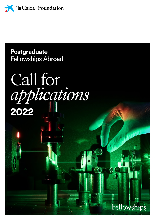

**Postgraduate Fellowships Abroad** 

# Call for<br>applications<br>2022



**PARK** 

aun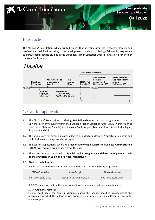

# Introduction

The "la Caixa" Foundation, which firmly believes that scientific progress, research, mobility and professional qualification are key to the development of society, is offering a fellowship programme to pursue postgraduate studies in the European Higher Education Area (EHEA), North America or the Asia-Pacific region.

# **Timeline**



# **1.** Call for applications

- **1.1.** The "la Caixa" Foundation is offering **100 fellowships** to pursue postgraduate studies at universities in any country within the European Higher Education Area (EHEA), North America (the United States or Canada), and the Asia-Pacific region (Australia, South Korea, India, Japan, Singapore and China).
- **1.2.** The studies are for either a master's degree or a doctoral degree. Predoctoral scientific and technical research stays are also accepted.
- **1.3.** The call for applications covers **all areas of knowledge**. **Master in Business Administration (MBA) programmes are excluded from the call.**
- **1.4.** These fellowships are aimed at **Spanish and Portuguese candidates who pursued their bachelor studies in Spain and Portugal respectively**.

### **1.5. Start of the fellowship**

*1.5.1.* The start of the fellowship will coincide with the start of the study programme:

| <b>EHEA Countries</b> | Asia-Pacific          | <b>North America</b> |
|-----------------------|-----------------------|----------------------|
| Fall term 2022-2023   | January-December 2023 | Fall term 2023-2024  |

*1.5.2.* These periods will be the same for doctoral programmes that have already started.

### *1.5.3.* **Additional remarks:**

Fellows must begin the study programme during the periods specified above, unless the programme for which the fellowship was awarded is only offered during a different period in the academic year.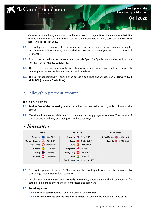

On an exceptional basis, and only for predoctoral research stays in North America, some flexibility may be allowed with regard to the start date at the host university. In any case, the fellowship will not start prior to May 2023.

- **1.6.** Fellowships will be awarded for one academic year—which under no circumstances may be less than 9 months—and may be extended for a second academic year, up to a maximum of 24 months.
- **1.7.** All courses or credits must be completed outside Spain for Spanish candidates, and outside Portugal for Portuguese candidates.
- **1.8.** These fellowships are exclusively for attendance-based studies, with fellows completely devoting themselves to their studies on a full-time basis.
- **1.9.** The call for applications will open on the date it is published and will close on **2 February 2022 at 14:00h (mainland Spain time)**.

# **2.** Fellowship payment amount

The fellowship covers:

- **2.1. Tuition fees of the university** where the fellow has been admitted to, with no limits to the amount.
- **2.2. Monthly allowance,** which is due from the date the study programme starts. The amount of the allowances will vary depending on the host country:

# *Allowances*



- **2.3.** For studies pursued in other EHEA countries, the monthly allowance will be calculated by converting **1,400 euros** to local currency.
- **2.4.** Initial amount **equivalent to a monthly allowance**, depending on the host country, for settling-in expenses, attendance at congresses and seminars.

### **2.5. Travel expenses:**

*2.5.1.* **For EHEA countries:** Initial one-time amount of **500 euros**.

*2.5.2.* **For North America and the Asia-Pacific region:** Initial one-time amount of **1**,**500 euros.**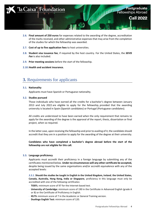

- **2.6. Final amount of 250 euros** for expenses related to the awarding of the degree, accreditation of the marks received, and other administrative expenses that may arise from the completion of the studies for which the fellowship was awarded.
- **2.7. Cost of up to five application fees** to host universities.
- **2.8. Student visa issuance fee**, if required by the host country. For the United States, the *SEVIS Fee* is also included.
- **2.9. Prior meeting sessions** before the start of the fellowship.
- **2.10.Health and accident insurance.**

# **3.** Requirements for applicants

### **3.1. Nationality**

Applicants must have Spanish or Portuguese nationality.

### **3.2. Studies pursued**

Those individuals who have earned all the credits for a bachelor's degree between January 2013 and July 2022 are eligible to apply for the fellowship, provided that the awarding university is located in Spain (Spanish candidates) or Portugal (Portuguese candidates).

All credits are understood to have been earned when the only requirement that remains to apply for the awarding of the degree is the approval of the report, thesis, dissertation or final project, when so required.

In the latter case, upon receiving the fellowship and prior to availing of it, the candidate should accredit that they are in a position to apply for the awarding of the degree at their university.

**Candidates who have completed a bachelor's degree abroad before the start of the fellowship are not eligible for this call.**

### **3.3. Language proficiency**

Applicants must accredit their proficiency in a foreign language by submitting any of the certificates mentioned below. **Under no circumstances will any other certificate be accepted,** despite being issued by the same organisations and/or accredit equivalence with any of the accepted levels:

*3.3.1.* **Should the studies be taught in English in the United Kingdom, Ireland**, **the United States, Canada, Australia, Hong Kong, India or Singapore**, proficiency in this language must only be accredited with one of the following certificates:

- · **TOEFL:** minimum score of 97 for the Internet-based test.
- · **University of Cambridge:** minimum score of 190 in the Certificate in Advanced English (grade A or B) or the Certificate of Proficiency in English*.*
- · **IELTS:** minimum score of 7 in the Academic or General Training version.
- · **Duolingo English Test:** minimum score of 120.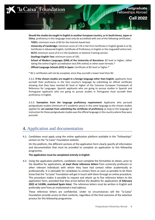

**Should the studies be taught in English in another European country, or in South Korea, Japan or China**, proficiency in this language must only be accredited with one of the following certificates:

- · **TOEFL:** minimum score of 83 for the Internet-based test.
- · **University of Cambridge:** minimum score of 176 in the First Certificate in English (grade A or B), Certificate in Advanced English, Certificate of Proficiency in English or the Linguaskill online test.
- · **IELTS:** minimum score of 6.5 in the Academic or General Training version.
- · **Duolingo English Test:** minimum score of 105.
- · **School of Modern Languages (EIM) of the University of Barcelona:** B2 level or higher, either taking the online English accreditation test (PAI online) or other exam formats.\*
- · **Official Language Schools (EOI) in Spain:** Certificate of B2 level or higher.\*
- \* B2.1 certificates will not be accepted, since they accredit a lower level than B2.

*3.3.2.* **If the chosen studies are taught in a foreign language other than English**, applicants must accredit their proficiency in the host country's language by submitting an official certificate showing that they have reached B2 level or higher of the Common European Framework of Reference for Languages. Spanish applicants who are going to pursue studies in Spanish and Portuguese applicants who are going to pursue studies in Portuguese must accredit their proficiency in English.

*3.3.3.* **Exemption from the language proficiency requirement:** Applicants who pursued postgraduate studies (minimum of 2 academic years) in the same language as the chosen studies applied for **are exempt from submitting the certificate of proficiency** as long as the language of instruction for these postgraduate studies was the official language in the country where they were pursued.

# **4.** Application and documentation

**4.1.** Candidates must apply using the online application platform available in the "Fellowships" section on the "la Caixa" Foundation website.

On this platform, the different sections of the application form clearly specify all information and documentation that must be provided to complete an application to this fellowship programme.

### **The application must be completed entirely in English**.

**4.2.** Using the application platform, candidates must complete the formalities to obtain, prior to the deadline for applications, **at least three reference letters** from university professors or other relevant individuals with whom they have had contact either academically or professionally. It is advisable for candidates to contact them as soon as possible to let them know that the "la Caixa" Foundation will get in touch with them through an online procedure. This procedure makes it possible to request and attach up to five reference letters to the application form, provided that they arrive before the deadline for applications (**2 February 2022 at 14:00h, mainland Spain time**). The reference letters must be written in English and preferably sent from an institutional e-mail address.

These reference letters are confidential. Under no circumstances will the "la Caixa" Foundation provide access to their contents, regardless of the final outcome of the selection process for this fellowship programme.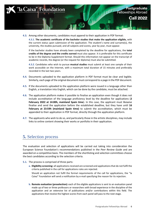

**4.3.** Among other documents, candidates must append to their application in PDF format:

*4.3.1.* **The academic certificate of the bachelor studies that make the application eligible,** with the current status upon submission of the application. The student's name and surname(s), the university, the studies pursued, and all subjects and scores, year by year, must appear.

If the bachelor studies have already been completed by the deadline for applications, the **total credits of the degree and the credits earned** must also appear. It is preferable for this certificate to be in the Diploma Supplement format. Should this information not appear on the transcript of academic records, the degree (or the request for diploma) must also be submitted.

*4.3.2.* Candidates who wish to pursue **musical studies** must submit at least one sample of their work accessible on the Internet, with a maximum total duration of 15 minutes and preferably recorded in the last two years.

- **4.4.** Documents uploaded to the application platform in PDF format must be clear and legible. Similarly, each page of the original document must correspond to a page in the PDF document.
- **4.5.** If the documents uploaded to the application platform were issued in a language other than English, a translation into English, which can be done by the candidate, must be attached.
- **4.6.** The application platform makes it possible to finalise an application even though it does not include accreditation of the language proficiency level by the deadline for applications (**2 February 2022 at 14:00h, mainland Spain time**). In this case, the applicant must likewise finalise and send the application before the established deadline, but they have until **16 February at 23:59h (mainland Spain time)** to submit the accreditation, which must be appended to their application in PDF format, directly through the application platform.
- **4.7.** The applicants who wish to do so, and particularly those in the artistic disciplines, may include links to online content showing their works or portfolio in their application.

# **5.** Selection process

The evaluation and selection of applications will be carried out taking into consideration the European Science Foundation's recommendations published in the *Peer Review Guide* and are awarded on a competitive basis. The members of the shortlisting and selection committees choose the best candidates according to the selection criteria.

- **5.1.** The process is comprised of three parts:
	- **a. Eligibility screening:** all applications received are screened and applications that do not fulfil the criteria published in the call for applications rules are rejected.

Should an application not fulfil the formal requirements of the call for applications, the "la Caixa" Foundation will send a notification by e-mail specifying the reason for its rejection.

**b.** Remote evaluation (preselection): each of the eligible applications is sent to an evaluation panel made up of two or three professors or researchers with broad experience in the discipline of the application and an extensive list of publications and/or contributions within this field. The applications that receive the highest scores from each panel will pass to the next stage.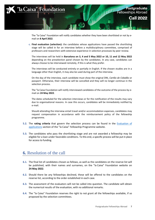

The "la Caixa" Foundation will notify candidates whether they have been shortlisted or not by email on **8 April 2022**.

**c. Final evaluation (selection):** the candidates whose applications have passed the shortlisting stage will be called in for an interview before a multidisciplinary committee, comprised of professors and researchers with extensive experience in selection processes by peer review.

The interviews will be held in **Barcelona on 3, 4 and 5 May 2022 or 10, 11 and 12 May 2022** depending on the preselection panel chosen by the candidates. In any case, candidates can always choose to be interviewed remotely, if this is what they prefer.

The interviews will be conducted entirely or partially in English. If the chosen studies are in a language other than English, it may also be used during part of the interview.

On the day of the interview, each candidate must show the original DNI, *Cartão de Cidadão* or passport. Otherwise, their interview will be cancelled and they will no longer continue in the selection process.

The "la Caixa Foundation will notify interviewed candidates of the outcome of the process by email on **24 May 2022**.

The dates scheduled for the selection interviews or for the notification of the results may vary due to organisational reasons. In case this occurs, candidates will be immediately notified by e-mail.

Should attending the interview entail travel and/or accommodation expenses, candidates may request compensation in accordance with the reimbursement policy of the fellowship programme.

- **5.2.** The **rating criteria** that govern the selection process can be found in the [Evaluation of](https://fundacionlacaixa.org/en/postgraduate-fellowships-abroad-evaluation-applications)  [applications section of the "la Caixa" Fellowship Programme website.](https://fundacionlacaixa.org/en/postgraduate-fellowships-abroad-evaluation-applications)
- **5.3.** The candidates who pass the shortlisting stage and are not awarded a fellowship may be eligible for a loan under favorable conditions. To this end, a specific process will be put in place for access to funding.

## **6.** Resolution of the call

- **6.1.** The final list of candidates chosen as fellows, as well as the candidates on the reserve list will be published, with their names and surnames, on the "la Caixa" Foundation website on **24 May 2022**.
- **6.2.** Should there be any fellowships declined, these will be offered to the candidates on the reserve list, according to the order established in each case.
- **6.3.** The assessment of the evaluators will not be called into question. The candidate will obtain the numerical results of the evaluation, with no additional remarks.
- **6.4.** The "la Caixa" Foundation reserves the right to not grant all the fellowships available, if so proposed by the selection committees.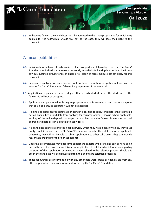

**6.5.** To become fellows, the candidates must be admitted to the study programme for which they applied for the fellowship. Should this not be the case, they will lose their right to the fellowship.

# **7.** Incompatibilities

- **7.1.** Individuals who have already availed of a postgraduate fellowship from the "la Caixa" Foundation or individuals who were previously awarded a fellowship but declined it without any duly justified circumstance of illness or a reason of force majeure cannot apply for this fellowship.
- **7.2.** Candidates applying to this fellowship will not have the option to apply simultaneously to another "la Caixa" Foundation fellowships programme of the same call.
- **7.3.** Applications to pursue a master's degree that already started before the start date of the fellowship will not be accepted.
- **7.4.** Applications to pursue a double degree programme that is made up of two master's degrees that could be pursued separately will not be accepted.
- **7.5.** Holding a doctoral degree certificate or being in a position to apply for it before the fellowship period disqualifies a candidate from applying for this programme. Likewise, where applicable, availing of the fellowship will no longer be possible once the fellow obtains the doctoral degree certificate or is in a position to apply for it.
- **7.6.** If a candidate cannot attend the final interview which they have been invited to, they must notify it well in advance so the "la Caixa" Foundation can offer their slot to another applicant. Otherwise, they will not be able to submit applications to other calls, unless they can provide reasonable grounds for their nonappearance.
- **7.7.** Under no circumstances may applicants contact the experts who are taking part or have taken part in the selection processes of this call for applications to ask them for information regarding the status of their application or any other aspect related to the selection process. Should this occur, the candidate will be disqualified from this and future selection processes.
- **7.8.** These fellowships are incompatible with any other paid work, grant, or financial aid from any other organisation, unless expressly authorised by the "la Caixa" Foundation.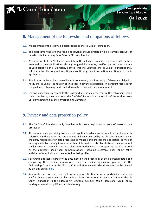

# **8.** Management of the fellowship and obligations of fellows

- **8.1.** Management of the fellowship corresponds to the "la Caixa" Foundation.
- **8.2.** The applicants who are awarded a fellowship should preferably be a current account or bankbook holder at any CaixaBank or BPI branch office.
- **8.3.** At the request of the "la Caixa" Foundation, the selected candidates must accredit the files attached to their applications, through original documents, certified photocopies of them or verification via their university's official website. Likewise, the "la Caixa" Foundation may ask them for the original certificates confirming any information mentioned in their application.
- **8.4.** Should the studies to be pursued include compulsory paid internships, fellows are obliged to notify the "la Caixa" Foundation of this as far in advance as possible. The amount received for the paid internship may be deducted from the fellowship payment amount.
- **8.5.** Fellows undertake to complete the postgraduate studies covered by the fellowship. Upon their completion, they must send the "la Caixa" Foundation the results of the studies taken up, duly accredited by the corresponding university.

# **9.** Privacy and data protection policy

- **9.1.** The "la Caixa" Foundation fully complies with current legislation in terms of personal data protection.
- **9.2.** All personal data pertaining to fellowship applicants which are included in the documents referred to in these rules and requirements will be processed by the "la Caixa" Foundation as the party responsible for data processing to manage and process the application, service or enquiry made by the applicants; send them information—also by electronic means—about similar activities; meet with the legal obligations under which it is subject to; and, if so desired by the applicant, send them communications—including electronic ones—about other activities offered by it which are suited to their profile.
- **9.3.** Fellowship applicants agree to the document on the processing of their personal data upon completing their online application, using the online application platform in the "Fellowships" section on the "la Caixa" Foundation website. This document can be viewed by clicking on this [link](https://legal.fundacionlacaixa.org/c/201804/GEICC_consent_en.html).
- **9.4.** Applicants may exercise their rights of access, rectification, erasure, portability, restriction and/or objection to processing by sending a letter to the Data Protection Officer of the "la Caixa" Foundation to the address Av. Diagonal, 621-629, 08028 Barcelona (Spain) or by sending an e-mail to dpd@fundaciolacaixa.org.